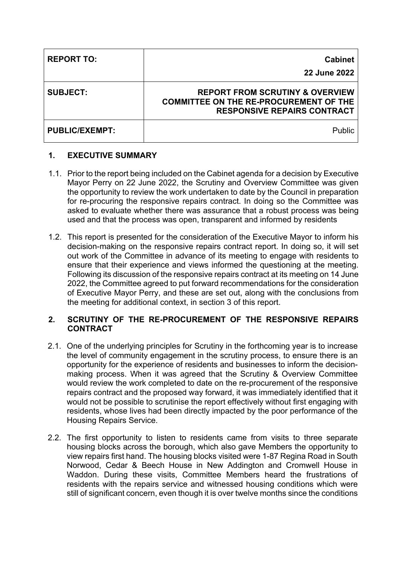| <b>REPORT TO:</b>     | <b>Cabinet</b><br>22 June 2022                                                                                                    |
|-----------------------|-----------------------------------------------------------------------------------------------------------------------------------|
| <b>SUBJECT:</b>       | <b>REPORT FROM SCRUTINY &amp; OVERVIEW</b><br><b>COMMITTEE ON THE RE-PROCUREMENT OF THE</b><br><b>RESPONSIVE REPAIRS CONTRACT</b> |
| <b>PUBLIC/EXEMPT:</b> | <b>Public</b>                                                                                                                     |

# **1. EXECUTIVE SUMMARY**

- 1.1. Prior to the report being included on the Cabinet agenda for a decision by Executive Mayor Perry on 22 June 2022, the Scrutiny and Overview Committee was given the opportunity to review the work undertaken to date by the Council in preparation for re-procuring the responsive repairs contract. In doing so the Committee was asked to evaluate whether there was assurance that a robust process was being used and that the process was open, transparent and informed by residents
- 1.2. This report is presented for the consideration of the Executive Mayor to inform his decision-making on the responsive repairs contract report. In doing so, it will set out work of the Committee in advance of its meeting to engage with residents to ensure that their experience and views informed the questioning at the meeting. Following its discussion of the responsive repairs contract at its meeting on 14 June 2022, the Committee agreed to put forward recommendations for the consideration of Executive Mayor Perry, and these are set out, along with the conclusions from the meeting for additional context, in section 3 of this report.

# **2. SCRUTINY OF THE RE-PROCUREMENT OF THE RESPONSIVE REPAIRS CONTRACT**

- 2.1. One of the underlying principles for Scrutiny in the forthcoming year is to increase the level of community engagement in the scrutiny process, to ensure there is an opportunity for the experience of residents and businesses to inform the decisionmaking process. When it was agreed that the Scrutiny & Overview Committee would review the work completed to date on the re-procurement of the responsive repairs contract and the proposed way forward, it was immediately identified that it would not be possible to scrutinise the report effectively without first engaging with residents, whose lives had been directly impacted by the poor performance of the Housing Repairs Service.
- 2.2. The first opportunity to listen to residents came from visits to three separate housing blocks across the borough, which also gave Members the opportunity to view repairs first hand. The housing blocks visited were 1-87 Regina Road in South Norwood, Cedar & Beech House in New Addington and Cromwell House in Waddon. During these visits, Committee Members heard the frustrations of residents with the repairs service and witnessed housing conditions which were still of significant concern, even though it is over twelve months since the conditions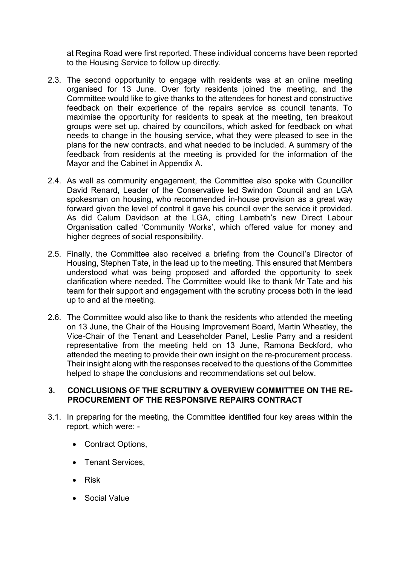at Regina Road were first reported. These individual concerns have been reported to the Housing Service to follow up directly.

- 2.3. The second opportunity to engage with residents was at an online meeting organised for 13 June. Over forty residents joined the meeting, and the Committee would like to give thanks to the attendees for honest and constructive feedback on their experience of the repairs service as council tenants. To maximise the opportunity for residents to speak at the meeting, ten breakout groups were set up, chaired by councillors, which asked for feedback on what needs to change in the housing service, what they were pleased to see in the plans for the new contracts, and what needed to be included. A summary of the feedback from residents at the meeting is provided for the information of the Mayor and the Cabinet in Appendix A.
- 2.4. As well as community engagement, the Committee also spoke with Councillor David Renard, Leader of the Conservative led Swindon Council and an LGA spokesman on housing, who recommended in-house provision as a great way forward given the level of control it gave his council over the service it provided. As did Calum Davidson at the LGA, citing Lambeth's new Direct Labour Organisation called 'Community Works', which offered value for money and higher degrees of social responsibility.
- 2.5. Finally, the Committee also received a briefing from the Council's Director of Housing, Stephen Tate, in the lead up to the meeting. This ensured that Members understood what was being proposed and afforded the opportunity to seek clarification where needed. The Committee would like to thank Mr Tate and his team for their support and engagement with the scrutiny process both in the lead up to and at the meeting.
- 2.6. The Committee would also like to thank the residents who attended the meeting on 13 June, the Chair of the Housing Improvement Board, Martin Wheatley, the Vice-Chair of the Tenant and Leaseholder Panel, Leslie Parry and a resident representative from the meeting held on 13 June, Ramona Beckford, who attended the meeting to provide their own insight on the re-procurement process. Their insight along with the responses received to the questions of the Committee helped to shape the conclusions and recommendations set out below.

#### **3. CONCLUSIONS OF THE SCRUTINY & OVERVIEW COMMITTEE ON THE RE-PROCUREMENT OF THE RESPONSIVE REPAIRS CONTRACT**

- 3.1. In preparing for the meeting, the Committee identified four key areas within the report, which were: -
	- Contract Options,
	- Tenant Services,
	- Risk
	- Social Value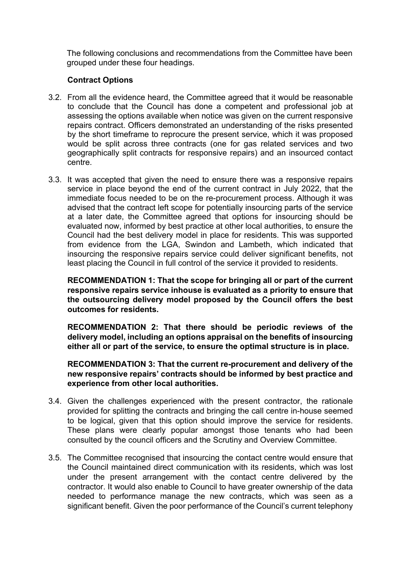The following conclusions and recommendations from the Committee have been grouped under these four headings.

# **Contract Options**

- 3.2. From all the evidence heard, the Committee agreed that it would be reasonable to conclude that the Council has done a competent and professional job at assessing the options available when notice was given on the current responsive repairs contract. Officers demonstrated an understanding of the risks presented by the short timeframe to reprocure the present service, which it was proposed would be split across three contracts (one for gas related services and two geographically split contracts for responsive repairs) and an insourced contact centre.
- 3.3. It was accepted that given the need to ensure there was a responsive repairs service in place beyond the end of the current contract in July 2022, that the immediate focus needed to be on the re-procurement process. Although it was advised that the contract left scope for potentially insourcing parts of the service at a later date, the Committee agreed that options for insourcing should be evaluated now, informed by best practice at other local authorities, to ensure the Council had the best delivery model in place for residents. This was supported from evidence from the LGA, Swindon and Lambeth, which indicated that insourcing the responsive repairs service could deliver significant benefits, not least placing the Council in full control of the service it provided to residents.

**RECOMMENDATION 1: That the scope for bringing all or part of the current responsive repairs service inhouse is evaluated as a priority to ensure that the outsourcing delivery model proposed by the Council offers the best outcomes for residents.**

**RECOMMENDATION 2: That there should be periodic reviews of the delivery model, including an options appraisal on the benefits of insourcing either all or part of the service, to ensure the optimal structure is in place.**

**RECOMMENDATION 3: That the current re-procurement and delivery of the new responsive repairs' contracts should be informed by best practice and experience from other local authorities.**

- 3.4. Given the challenges experienced with the present contractor, the rationale provided for splitting the contracts and bringing the call centre in-house seemed to be logical, given that this option should improve the service for residents. These plans were clearly popular amongst those tenants who had been consulted by the council officers and the Scrutiny and Overview Committee.
- 3.5. The Committee recognised that insourcing the contact centre would ensure that the Council maintained direct communication with its residents, which was lost under the present arrangement with the contact centre delivered by the contractor. It would also enable to Council to have greater ownership of the data needed to performance manage the new contracts, which was seen as a significant benefit. Given the poor performance of the Council's current telephony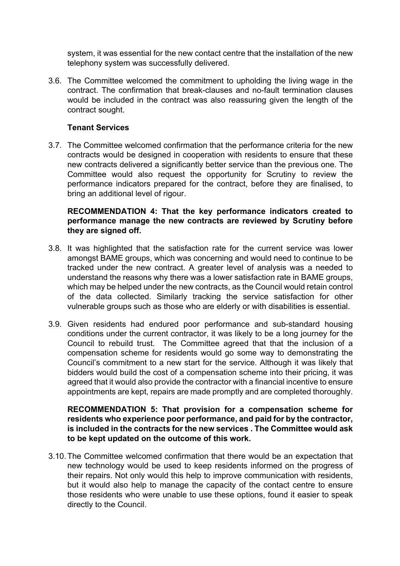system, it was essential for the new contact centre that the installation of the new telephony system was successfully delivered.

3.6. The Committee welcomed the commitment to upholding the living wage in the contract. The confirmation that break-clauses and no-fault termination clauses would be included in the contract was also reassuring given the length of the contract sought.

# **Tenant Services**

3.7. The Committee welcomed confirmation that the performance criteria for the new contracts would be designed in cooperation with residents to ensure that these new contracts delivered a significantly better service than the previous one. The Committee would also request the opportunity for Scrutiny to review the performance indicators prepared for the contract, before they are finalised, to bring an additional level of rigour.

# **RECOMMENDATION 4: That the key performance indicators created to performance manage the new contracts are reviewed by Scrutiny before they are signed off.**

- 3.8. It was highlighted that the satisfaction rate for the current service was lower amongst BAME groups, which was concerning and would need to continue to be tracked under the new contract. A greater level of analysis was a needed to understand the reasons why there was a lower satisfaction rate in BAME groups, which may be helped under the new contracts, as the Council would retain control of the data collected. Similarly tracking the service satisfaction for other vulnerable groups such as those who are elderly or with disabilities is essential.
- 3.9. Given residents had endured poor performance and sub-standard housing conditions under the current contractor, it was likely to be a long journey for the Council to rebuild trust. The Committee agreed that that the inclusion of a compensation scheme for residents would go some way to demonstrating the Council's commitment to a new start for the service. Although it was likely that bidders would build the cost of a compensation scheme into their pricing, it was agreed that it would also provide the contractor with a financial incentive to ensure appointments are kept, repairs are made promptly and are completed thoroughly.

#### **RECOMMENDATION 5: That provision for a compensation scheme for residents who experience poor performance, and paid for by the contractor, is included in the contracts for the new services . The Committee would ask to be kept updated on the outcome of this work.**

3.10.The Committee welcomed confirmation that there would be an expectation that new technology would be used to keep residents informed on the progress of their repairs. Not only would this help to improve communication with residents, but it would also help to manage the capacity of the contact centre to ensure those residents who were unable to use these options, found it easier to speak directly to the Council.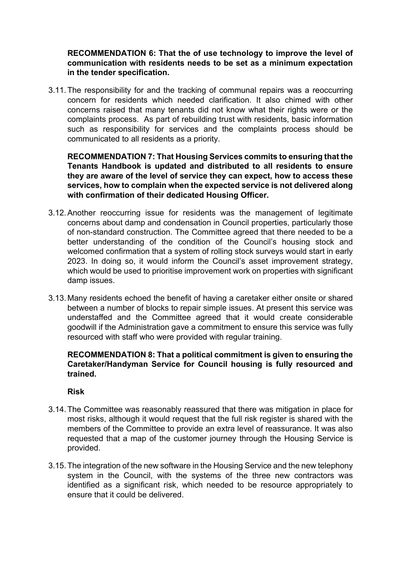# **RECOMMENDATION 6: That the of use technology to improve the level of communication with residents needs to be set as a minimum expectation in the tender specification.**

3.11.The responsibility for and the tracking of communal repairs was a reoccurring concern for residents which needed clarification. It also chimed with other concerns raised that many tenants did not know what their rights were or the complaints process. As part of rebuilding trust with residents, basic information such as responsibility for services and the complaints process should be communicated to all residents as a priority.

**RECOMMENDATION 7: That Housing Services commits to ensuring that the Tenants Handbook is updated and distributed to all residents to ensure they are aware of the level of service they can expect, how to access these services, how to complain when the expected service is not delivered along with confirmation of their dedicated Housing Officer.**

- 3.12.Another reoccurring issue for residents was the management of legitimate concerns about damp and condensation in Council properties, particularly those of non-standard construction. The Committee agreed that there needed to be a better understanding of the condition of the Council's housing stock and welcomed confirmation that a system of rolling stock surveys would start in early 2023. In doing so, it would inform the Council's asset improvement strategy, which would be used to prioritise improvement work on properties with significant damp issues.
- 3.13.Many residents echoed the benefit of having a caretaker either onsite or shared between a number of blocks to repair simple issues. At present this service was understaffed and the Committee agreed that it would create considerable goodwill if the Administration gave a commitment to ensure this service was fully resourced with staff who were provided with regular training.

# **RECOMMENDATION 8: That a political commitment is given to ensuring the Caretaker/Handyman Service for Council housing is fully resourced and trained.**

#### **Risk**

- 3.14.The Committee was reasonably reassured that there was mitigation in place for most risks, although it would request that the full risk register is shared with the members of the Committee to provide an extra level of reassurance. It was also requested that a map of the customer journey through the Housing Service is provided.
- 3.15.The integration of the new software in the Housing Service and the new telephony system in the Council, with the systems of the three new contractors was identified as a significant risk, which needed to be resource appropriately to ensure that it could be delivered.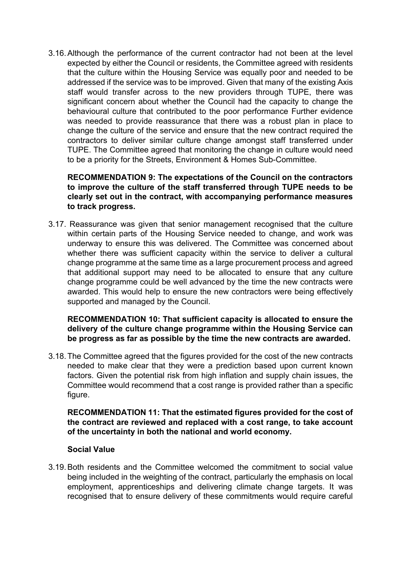3.16.Although the performance of the current contractor had not been at the level expected by either the Council or residents, the Committee agreed with residents that the culture within the Housing Service was equally poor and needed to be addressed if the service was to be improved. Given that many of the existing Axis staff would transfer across to the new providers through TUPE, there was significant concern about whether the Council had the capacity to change the behavioural culture that contributed to the poor performance Further evidence was needed to provide reassurance that there was a robust plan in place to change the culture of the service and ensure that the new contract required the contractors to deliver similar culture change amongst staff transferred under TUPE. The Committee agreed that monitoring the change in culture would need to be a priority for the Streets, Environment & Homes Sub-Committee.

**RECOMMENDATION 9: The expectations of the Council on the contractors to improve the culture of the staff transferred through TUPE needs to be clearly set out in the contract, with accompanying performance measures to track progress.**

3.17. Reassurance was given that senior management recognised that the culture within certain parts of the Housing Service needed to change, and work was underway to ensure this was delivered. The Committee was concerned about whether there was sufficient capacity within the service to deliver a cultural change programme at the same time as a large procurement process and agreed that additional support may need to be allocated to ensure that any culture change programme could be well advanced by the time the new contracts were awarded. This would help to ensure the new contractors were being effectively supported and managed by the Council.

**RECOMMENDATION 10: That sufficient capacity is allocated to ensure the delivery of the culture change programme within the Housing Service can be progress as far as possible by the time the new contracts are awarded.**

3.18.The Committee agreed that the figures provided for the cost of the new contracts needed to make clear that they were a prediction based upon current known factors. Given the potential risk from high inflation and supply chain issues, the Committee would recommend that a cost range is provided rather than a specific figure.

**RECOMMENDATION 11: That the estimated figures provided for the cost of the contract are reviewed and replaced with a cost range, to take account of the uncertainty in both the national and world economy.**

#### **Social Value**

3.19.Both residents and the Committee welcomed the commitment to social value being included in the weighting of the contract, particularly the emphasis on local employment, apprenticeships and delivering climate change targets. It was recognised that to ensure delivery of these commitments would require careful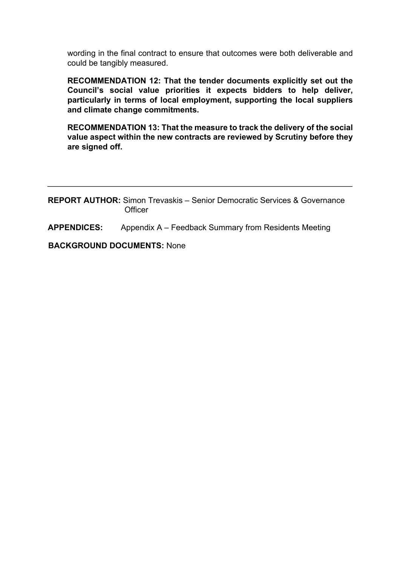wording in the final contract to ensure that outcomes were both deliverable and could be tangibly measured.

**RECOMMENDATION 12: That the tender documents explicitly set out the Council's social value priorities it expects bidders to help deliver, particularly in terms of local employment, supporting the local suppliers and climate change commitments.**

**RECOMMENDATION 13: That the measure to track the delivery of the social value aspect within the new contracts are reviewed by Scrutiny before they are signed off.**

**REPORT AUTHOR:** Simon Trevaskis – Senior Democratic Services & Governance **Officer** 

**APPENDICES:** Appendix A – Feedback Summary from Residents Meeting

**BACKGROUND DOCUMENTS:** None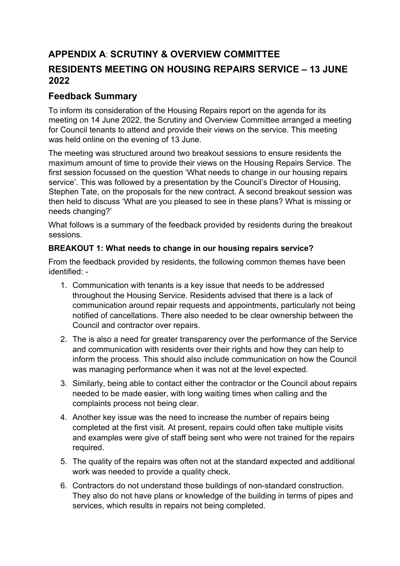# **APPENDIX A**: **SCRUTINY & OVERVIEW COMMITTEE RESIDENTS MEETING ON HOUSING REPAIRS SERVICE – 13 JUNE 2022**

# **Feedback Summary**

To inform its consideration of the Housing Repairs report on the agenda for its meeting on 14 June 2022, the Scrutiny and Overview Committee arranged a meeting for Council tenants to attend and provide their views on the service. This meeting was held online on the evening of 13 June.

The meeting was structured around two breakout sessions to ensure residents the maximum amount of time to provide their views on the Housing Repairs Service. The first session focussed on the question 'What needs to change in our housing repairs service'. This was followed by a presentation by the Council's Director of Housing, Stephen Tate, on the proposals for the new contract. A second breakout session was then held to discuss 'What are you pleased to see in these plans? What is missing or needs changing?'

What follows is a summary of the feedback provided by residents during the breakout sessions.

# **BREAKOUT 1: What needs to change in our housing repairs service?**

From the feedback provided by residents, the following common themes have been identified: -

- 1. Communication with tenants is a key issue that needs to be addressed throughout the Housing Service. Residents advised that there is a lack of communication around repair requests and appointments, particularly not being notified of cancellations. There also needed to be clear ownership between the Council and contractor over repairs.
- 2. The is also a need for greater transparency over the performance of the Service and communication with residents over their rights and how they can help to inform the process. This should also include communication on how the Council was managing performance when it was not at the level expected.
- 3. Similarly, being able to contact either the contractor or the Council about repairs needed to be made easier, with long waiting times when calling and the complaints process not being clear.
- 4. Another key issue was the need to increase the number of repairs being completed at the first visit. At present, repairs could often take multiple visits and examples were give of staff being sent who were not trained for the repairs required.
- 5. The quality of the repairs was often not at the standard expected and additional work was needed to provide a quality check.
- 6. Contractors do not understand those buildings of non-standard construction. They also do not have plans or knowledge of the building in terms of pipes and services, which results in repairs not being completed.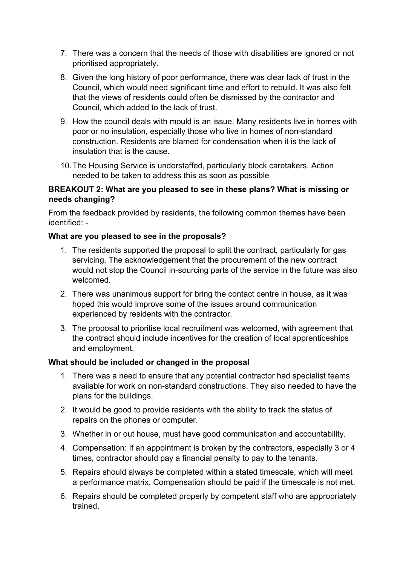- 7. There was a concern that the needs of those with disabilities are ignored or not prioritised appropriately.
- 8. Given the long history of poor performance, there was clear lack of trust in the Council, which would need significant time and effort to rebuild. It was also felt that the views of residents could often be dismissed by the contractor and Council, which added to the lack of trust.
- 9. How the council deals with mould is an issue. Many residents live in homes with poor or no insulation, especially those who live in homes of non-standard construction. Residents are blamed for condensation when it is the lack of insulation that is the cause.
- 10.The Housing Service is understaffed, particularly block caretakers. Action needed to be taken to address this as soon as possible

# **BREAKOUT 2: What are you pleased to see in these plans? What is missing or needs changing?**

From the feedback provided by residents, the following common themes have been identified: -

# **What are you pleased to see in the proposals?**

- 1. The residents supported the proposal to split the contract, particularly for gas servicing. The acknowledgement that the procurement of the new contract would not stop the Council in-sourcing parts of the service in the future was also welcomed.
- 2. There was unanimous support for bring the contact centre in house, as it was hoped this would improve some of the issues around communication experienced by residents with the contractor.
- 3. The proposal to prioritise local recruitment was welcomed, with agreement that the contract should include incentives for the creation of local apprenticeships and employment.

#### **What should be included or changed in the proposal**

- 1. There was a need to ensure that any potential contractor had specialist teams available for work on non-standard constructions. They also needed to have the plans for the buildings.
- 2. It would be good to provide residents with the ability to track the status of repairs on the phones or computer.
- 3. Whether in or out house, must have good communication and accountability.
- 4. Compensation: If an appointment is broken by the contractors, especially 3 or 4 times, contractor should pay a financial penalty to pay to the tenants.
- 5. Repairs should always be completed within a stated timescale, which will meet a performance matrix. Compensation should be paid if the timescale is not met.
- 6. Repairs should be completed properly by competent staff who are appropriately trained.